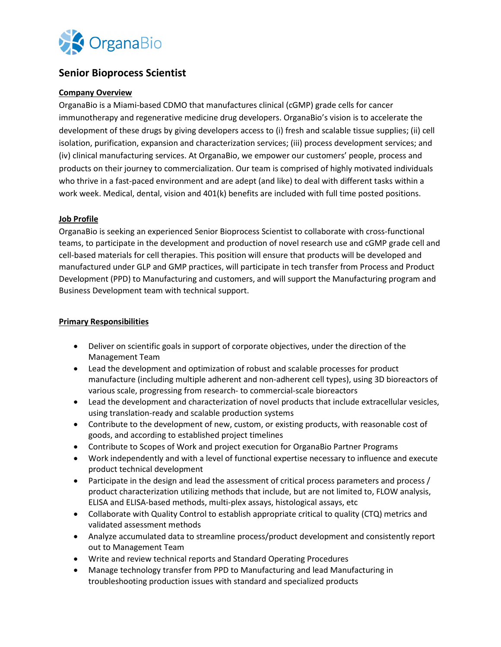

# **Senior Bioprocess Scientist**

### **Company Overview**

OrganaBio is a Miami-based CDMO that manufactures clinical (cGMP) grade cells for cancer immunotherapy and regenerative medicine drug developers. OrganaBio's vision is to accelerate the development of these drugs by giving developers access to (i) fresh and scalable tissue supplies; (ii) cell isolation, purification, expansion and characterization services; (iii) process development services; and (iv) clinical manufacturing services. At OrganaBio, we empower our customers' people, process and products on their journey to commercialization. Our team is comprised of highly motivated individuals who thrive in a fast-paced environment and are adept (and like) to deal with different tasks within a work week. Medical, dental, vision and 401(k) benefits are included with full time posted positions.

# **Job Profile**

OrganaBio is seeking an experienced Senior Bioprocess Scientist to collaborate with cross-functional teams, to participate in the development and production of novel research use and cGMP grade cell and cell-based materials for cell therapies. This position will ensure that products will be developed and manufactured under GLP and GMP practices, will participate in tech transfer from Process and Product Development (PPD) to Manufacturing and customers, and will support the Manufacturing program and Business Development team with technical support.

### **Primary Responsibilities**

- Deliver on scientific goals in support of corporate objectives, under the direction of the Management Team
- Lead the development and optimization of robust and scalable processes for product manufacture (including multiple adherent and non-adherent cell types), using 3D bioreactors of various scale, progressing from research- to commercial-scale bioreactors
- Lead the development and characterization of novel products that include extracellular vesicles, using translation-ready and scalable production systems
- Contribute to the development of new, custom, or existing products, with reasonable cost of goods, and according to established project timelines
- Contribute to Scopes of Work and project execution for OrganaBio Partner Programs
- Work independently and with a level of functional expertise necessary to influence and execute product technical development
- Participate in the design and lead the assessment of critical process parameters and process / product characterization utilizing methods that include, but are not limited to, FLOW analysis, ELISA and ELISA-based methods, multi-plex assays, histological assays, etc
- Collaborate with Quality Control to establish appropriate critical to quality (CTQ) metrics and validated assessment methods
- Analyze accumulated data to streamline process/product development and consistently report out to Management Team
- Write and review technical reports and Standard Operating Procedures
- Manage technology transfer from PPD to Manufacturing and lead Manufacturing in troubleshooting production issues with standard and specialized products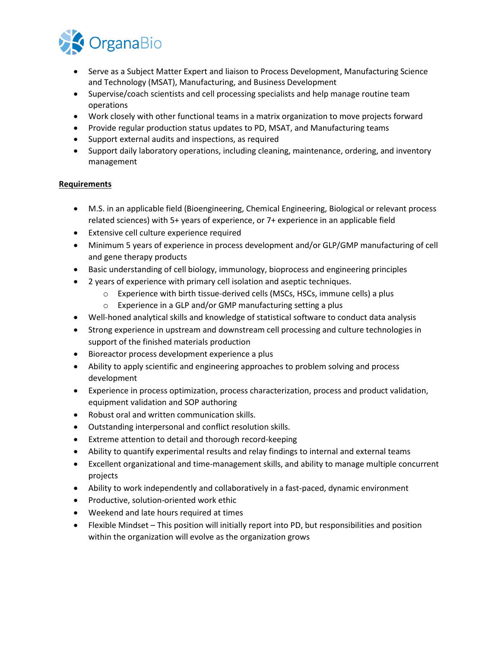

- Serve as a Subject Matter Expert and liaison to Process Development, Manufacturing Science and Technology (MSAT), Manufacturing, and Business Development
- Supervise/coach scientists and cell processing specialists and help manage routine team operations
- Work closely with other functional teams in a matrix organization to move projects forward
- Provide regular production status updates to PD, MSAT, and Manufacturing teams
- Support external audits and inspections, as required
- Support daily laboratory operations, including cleaning, maintenance, ordering, and inventory management

#### **Requirements**

- M.S. in an applicable field (Bioengineering, Chemical Engineering, Biological or relevant process related sciences) with 5+ years of experience, or 7+ experience in an applicable field
- Extensive cell culture experience required
- Minimum 5 years of experience in process development and/or GLP/GMP manufacturing of cell and gene therapy products
- Basic understanding of cell biology, immunology, bioprocess and engineering principles
- 2 years of experience with primary cell isolation and aseptic techniques.
	- $\circ$  Experience with birth tissue-derived cells (MSCs, HSCs, immune cells) a plus
	- o Experience in a GLP and/or GMP manufacturing setting a plus
- Well-honed analytical skills and knowledge of statistical software to conduct data analysis
- Strong experience in upstream and downstream cell processing and culture technologies in support of the finished materials production
- Bioreactor process development experience a plus
- Ability to apply scientific and engineering approaches to problem solving and process development
- Experience in process optimization, process characterization, process and product validation, equipment validation and SOP authoring
- Robust oral and written communication skills.
- Outstanding interpersonal and conflict resolution skills.
- Extreme attention to detail and thorough record-keeping
- Ability to quantify experimental results and relay findings to internal and external teams
- Excellent organizational and time-management skills, and ability to manage multiple concurrent projects
- Ability to work independently and collaboratively in a fast-paced, dynamic environment
- Productive, solution-oriented work ethic
- Weekend and late hours required at times
- Flexible Mindset This position will initially report into PD, but responsibilities and position within the organization will evolve as the organization grows